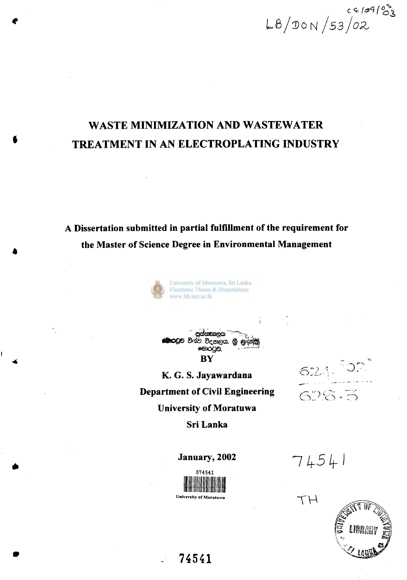CE/09/03<br>LB/DON/53/02

# **WASTE MINIMIZATION AND WASTEWATER TREATMENT IN AN ELECTROPLATING INDUSTRY**

**A Dissertation submitted in partial fulfillment of the requirement for the Master of Science Degree in Environmental Management** 





**K. G. S. Jayawardana Department of Civil Engineering** 

 $621.$ 628.3

**University of Moratuwa Sri Lanka** 

**January, 2002** 



 $7454$ <sup>1</sup>



**74541**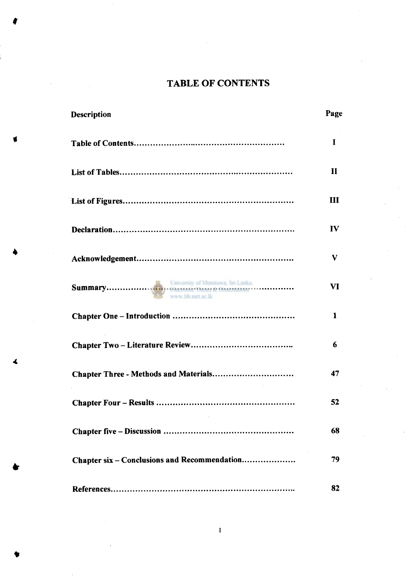## **TABLE OF CONTENTS**

|   | <b>Description</b>                           | Page         |
|---|----------------------------------------------|--------------|
|   |                                              | $\mathbf I$  |
|   |                                              | $\mathbf{I}$ |
|   |                                              | III          |
|   |                                              | $\bf{IV}$    |
|   |                                              | V            |
|   | www.lib.mrt.ac.lk                            | VI           |
|   |                                              | 1            |
|   |                                              | 6            |
| 4 |                                              | 47           |
|   |                                              | 52           |
|   |                                              | 68           |
|   | Chapter six - Conclusions and Recommendation | 79           |
|   |                                              | 82           |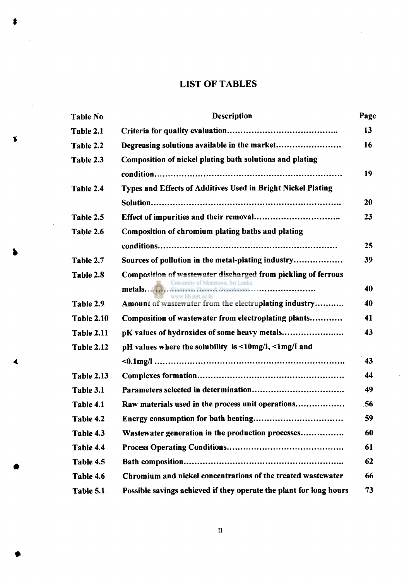## **LIST OF TABLES**

**f** 

 $\bar{\beta}$ 

 $\blacktriangleleft$ 

|    | Table No.         | <b>Description</b>                                                                                  | Page      |
|----|-------------------|-----------------------------------------------------------------------------------------------------|-----------|
| \$ | Table 2.1         |                                                                                                     | 13        |
|    | Table 2.2         |                                                                                                     | 16        |
|    | Table 2.3         | Composition of nickel plating bath solutions and plating                                            |           |
|    |                   |                                                                                                     | 19        |
|    | Table 2.4         | Types and Effects of Additives Used in Bright Nickel Plating                                        |           |
|    |                   |                                                                                                     | <b>20</b> |
|    | Table 2.5         |                                                                                                     | 23        |
|    | Table 2.6         | Composition of chromium plating baths and plating                                                   |           |
|    |                   |                                                                                                     | 25        |
|    | Table 2.7         | Sources of pollution in the metal-plating industry                                                  | 39        |
|    | Table 2.8         | Composition of wastewater discharged from pickling of ferrous<br>University of Moratuwa, Sri Lanka. | 40        |
|    | Table 2.9         | www.lib.mrt.ac.lk<br>Amount of wastewater from the electroplating industry                          | 40        |
|    |                   |                                                                                                     |           |
|    | <b>Table 2.10</b> | Composition of wastewater from electroplating plants                                                | 41        |
|    | <b>Table 2.11</b> | pK values of hydroxides of some heavy metals                                                        | 43        |
|    | <b>Table 2.12</b> | pH values where the solubility is $\leq 10$ mg/I, $\leq 1$ mg/I and                                 |           |
| 4  |                   |                                                                                                     | 43        |
|    | <b>Table 2.13</b> |                                                                                                     | 44        |
|    | Table 3.1         |                                                                                                     | 49        |
|    | Table 4.1         | Raw materials used in the process unit operations                                                   | 56        |
|    | Table 4.2         |                                                                                                     | 59        |
| ♠  | Table 4.3         | Wastewater generation in the production processes                                                   | 60        |
|    | Table 4.4         |                                                                                                     | 61        |
|    | Table 4.5         |                                                                                                     | 62        |
|    | Table 4.6         | Chromium and nickel concentrations of the treated wastewater                                        | 66        |
|    | Table 5.1         | Possible savings achieved if they operate the plant for long hours                                  | 73        |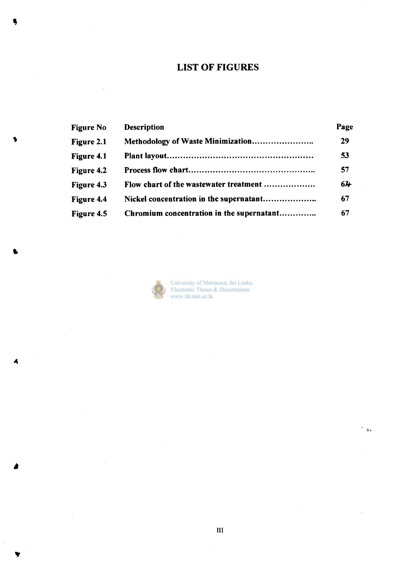## **LIST OF FIGURES**

|   | <b>Figure No</b> | <b>Description</b>                        | Page |
|---|------------------|-------------------------------------------|------|
| 1 | Figure 2.1       |                                           | 29   |
|   | Figure 4.1       |                                           | 53   |
|   | Figure 4.2       |                                           | 57   |
|   | Figure 4.3       | Flow chart of the wastewater treatment    | 64   |
|   | Figure 4.4       |                                           | 67   |
|   | Figure 4.5       | Chromium concentration in the supernatant | 67   |



 $\bar{\beta}$ 

University of Moratuwa, Sri Lanka.<br>Electronic Theses & Dissertations<br>www.lib.mrt.ac.lk

 $\sim$ 

 $\bar{\beta}$ 

**t** 

*A* 

 $\bar{z}$ 

 $\hat{\mathcal{A}}$ 

 $\overline{\phantom{a}}$ 

 $\mathcal{A}^{\mathcal{A}}$ 

 $\frac{1}{2}$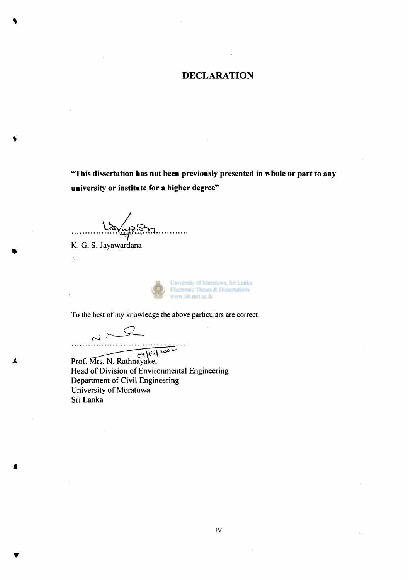#### **DECLARATION**

**"This dissertation has not been previously presented in whole or part to any university or institute for a higher degree"** 

تغرضته . . . . . . . . .

K. G. S.

 $\frac{1}{\sqrt{2}}$ 

University of Moratuwa, Sri Lanka. Electronic Theses & Dissertations www.lib.mrt.ac.lk

To the best of my knowledge the above particulars are correct

 $\sim$ 

**«** 

 $N \rightarrow 0 \rightarrow 0$ <br>Prof. Mrs. N. Rathnayake, Head of Division of Environmental Engineering Department of Civil Engineering University of Moratuwa Sri Lanka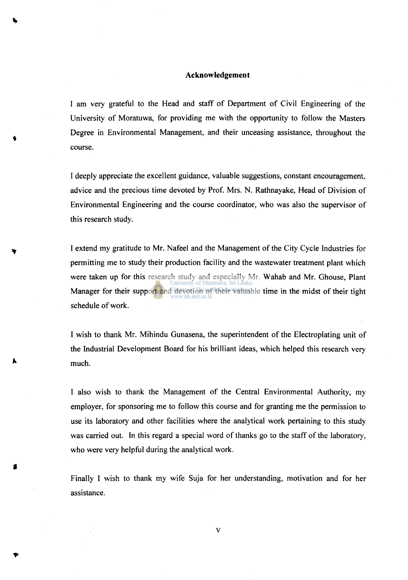#### **Acknowledgement**

I am very grateful to the Head and staff of Department of Civil Engineering of the University of Moratuwa, for providing me with the opportunity to follow the Masters Degree in Environmental Management, and their unceasing assistance, throughout the course.

I deeply appreciate the excellent guidance, valuable suggestions, constant encouragement, advice and the precious time devoted by Prof. Mrs. N. Rathnayake, Head of Division of Environmental Engineering and the course coordinator, who was also the supervisor of this research study.

I extend my gratitude to Mr. Nafeel and the Management of the City Cycle Industries for permitting me to study their production facility and the wastewater treatment plant which were taken up for this research study and especially Mr. Wahab and Mr. Ghouse, Plant Manager for their support and devotion of their valuable time in the midst of their tight schedule of work.

I wish to thank Mr. Mihindu Gunasena, the superintendent of the Electroplating unit of the Industrial Development Board for his brilliant ideas, which helped this research very much.

I also wish to thank the Management of the Central Environmental Authority, my employer, for sponsoring me to follow this course and for granting me the permission to use its laboratory and other facilities where the analytical work pertaining to this study was carried out. In this regard a special word of thanks go to the staff of the laboratory, who were very helpful during the analytical work.

Finally I wish to thank my wife Suja for her understanding, motivation and for her assistance.

**v**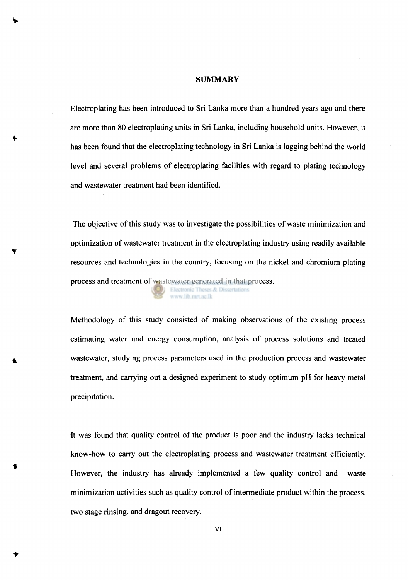#### **SUMMARY**

Electroplating has been introduced to Sri Lanka more than a hundred years ago and there are more than 80 electroplating units in Sri Lanka, including household units. However, it has been found that the electroplating technology in Sri Lanka is lagging behind the world level and several problems of electroplating facilities with regard to plating technology and wastewater treatment had been identified.

The objective of this study was to investigate the possibilities of waste minimization and optimization of wastewater treatment in the electroplating industry using readily available resources and technologies in the country, focusing on the nickel and chromium-plating process and treatment of wastewater generated in that process. Electronic Theses & Dissertations www.lib.mrt.ac.lk

Methodology of this study consisted of making observations of the existing process estimating water and energy consumption, analysis of process solutions and treated wastewater, studying process parameters used in the production process and wastewater treatment, and carrying out a designed experiment to study optimum pH for heavy metal precipitation.

It was found that quality control of the product is poor and the industry lacks technical know-how to carry out the electroplating process and wastewater treatment efficiently. However, the industry has already implemented a few quality control and waste minimization activities such as quality control of intermediate product within the process, two stage rinsing, and dragout recovery.